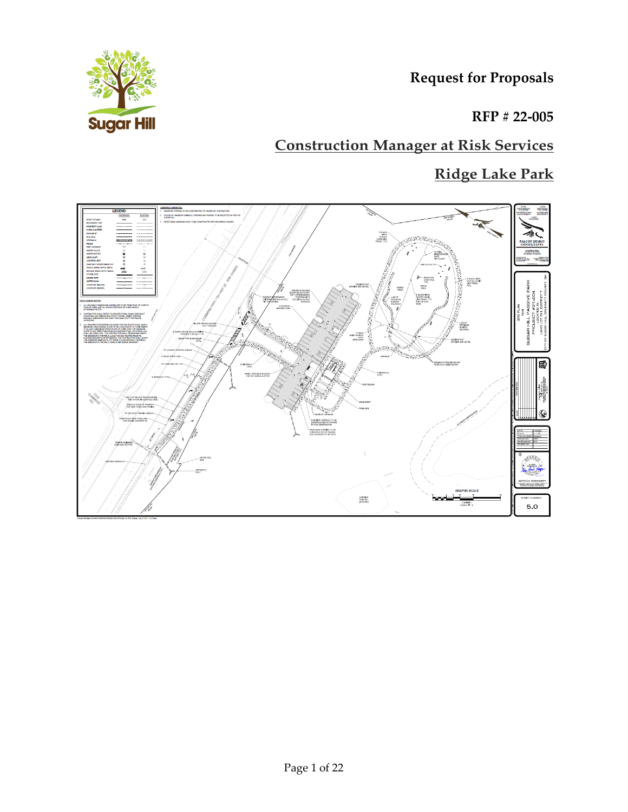**Request for Proposals**



**RFP # 22-005**

# **Construction Manager at Risk Services**

# **Ridge Lake Park**

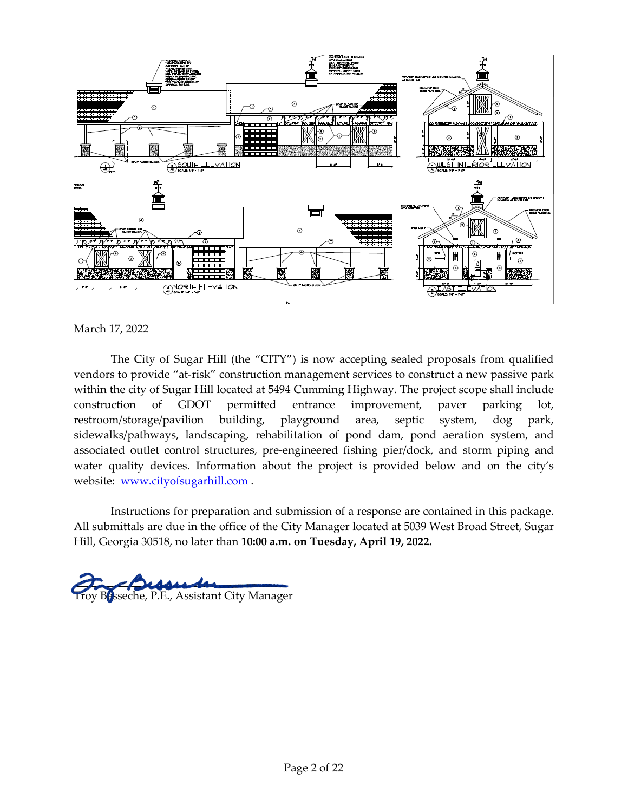

March 17, 2022

The City of Sugar Hill (the "CITY") is now accepting sealed proposals from qualified vendors to provide "at-risk" construction management services to construct a new passive park within the city of Sugar Hill located at 5494 Cumming Highway. The project scope shall include construction of GDOT permitted entrance improvement, paver parking lot, restroom/storage/pavilion building, playground area, septic system, dog park, sidewalks/pathways, landscaping, rehabilitation of pond dam, pond aeration system, and associated outlet control structures, pre-engineered fishing pier/dock, and storm piping and water quality devices. Information about the project is provided below and on the city's website: [www.cityofsugarhill.com](http://www.cityofsugarhill.com/) .

Instructions for preparation and submission of a response are contained in this package. All submittals are due in the office of the City Manager located at 5039 West Broad Street, Sugar Hill, Georgia 30518, no later than **10:00 a.m. on Tuesday, April 19, 2022.** 

toy Besseche, P.E., Assistant City Manager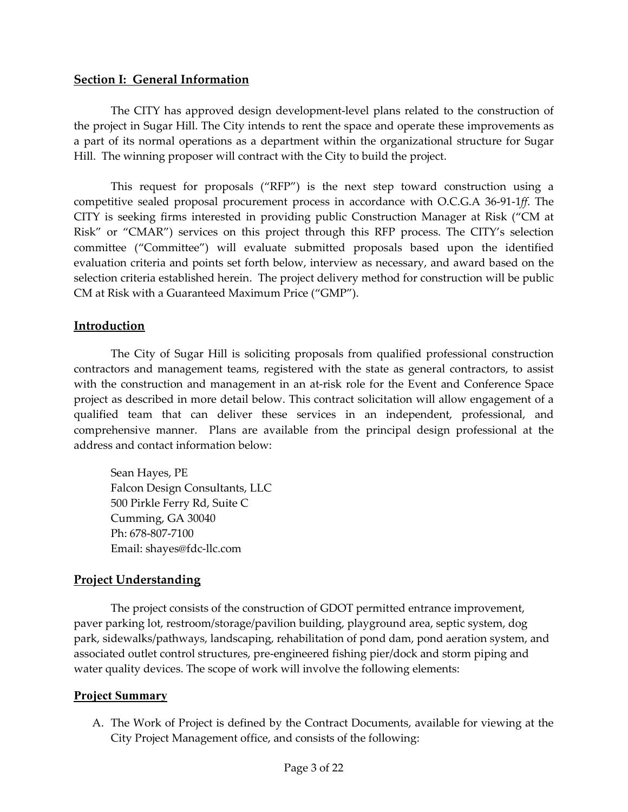#### **Section I: General Information**

The CITY has approved design development-level plans related to the construction of the project in Sugar Hill. The City intends to rent the space and operate these improvements as a part of its normal operations as a department within the organizational structure for Sugar Hill. The winning proposer will contract with the City to build the project.

This request for proposals ("RFP") is the next step toward construction using a competitive sealed proposal procurement process in accordance with O.C.G.A 36-91-1*ff*. The CITY is seeking firms interested in providing public Construction Manager at Risk ("CM at Risk" or "CMAR") services on this project through this RFP process. The CITY's selection committee ("Committee") will evaluate submitted proposals based upon the identified evaluation criteria and points set forth below, interview as necessary, and award based on the selection criteria established herein. The project delivery method for construction will be public CM at Risk with a Guaranteed Maximum Price ("GMP").

#### **Introduction**

The City of Sugar Hill is soliciting proposals from qualified professional construction contractors and management teams, registered with the state as general contractors, to assist with the construction and management in an at-risk role for the Event and Conference Space project as described in more detail below. This contract solicitation will allow engagement of a qualified team that can deliver these services in an independent, professional, and comprehensive manner. Plans are available from the principal design professional at the address and contact information below:

Sean Hayes, PE Falcon Design Consultants, LLC 500 Pirkle Ferry Rd, Suite C Cumming, GA 30040 Ph: 678-807-7100 Email: shayes@fdc-llc.com

#### **Project Understanding**

The project consists of the construction of GDOT permitted entrance improvement, paver parking lot, restroom/storage/pavilion building, playground area, septic system, dog park, sidewalks/pathways, landscaping, rehabilitation of pond dam, pond aeration system, and associated outlet control structures, pre-engineered fishing pier/dock and storm piping and water quality devices. The scope of work will involve the following elements:

#### **Project Summary**

A. The Work of Project is defined by the Contract Documents, available for viewing at the City Project Management office, and consists of the following: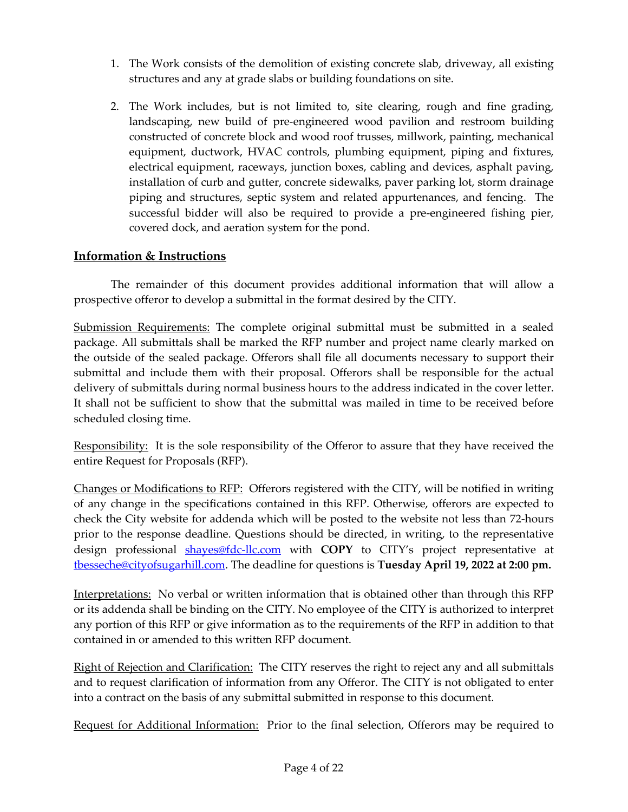- 1. The Work consists of the demolition of existing concrete slab, driveway, all existing structures and any at grade slabs or building foundations on site.
- 2. The Work includes, but is not limited to, site clearing, rough and fine grading, landscaping, new build of pre-engineered wood pavilion and restroom building constructed of concrete block and wood roof trusses, millwork, painting, mechanical equipment, ductwork, HVAC controls, plumbing equipment, piping and fixtures, electrical equipment, raceways, junction boxes, cabling and devices, asphalt paving, installation of curb and gutter, concrete sidewalks, paver parking lot, storm drainage piping and structures, septic system and related appurtenances, and fencing. The successful bidder will also be required to provide a pre-engineered fishing pier, covered dock, and aeration system for the pond.

## **Information & Instructions**

The remainder of this document provides additional information that will allow a prospective offeror to develop a submittal in the format desired by the CITY.

Submission Requirements: The complete original submittal must be submitted in a sealed package. All submittals shall be marked the RFP number and project name clearly marked on the outside of the sealed package. Offerors shall file all documents necessary to support their submittal and include them with their proposal. Offerors shall be responsible for the actual delivery of submittals during normal business hours to the address indicated in the cover letter. It shall not be sufficient to show that the submittal was mailed in time to be received before scheduled closing time.

Responsibility: It is the sole responsibility of the Offeror to assure that they have received the entire Request for Proposals (RFP).

Changes or Modifications to RFP: Offerors registered with the CITY, will be notified in writing of any change in the specifications contained in this RFP. Otherwise, offerors are expected to check the City website for addenda which will be posted to the website not less than 72-hours prior to the response deadline. Questions should be directed, in writing, to the representative design professional shayes@fdc-llc.com with **COPY** to CITY's project representative at [tbesseche@cityofsugarhill.com.](mailto:tbesseche@cityofsugarhill.com) The deadline for questions is **Tuesday April 19, 2022 at 2:00 pm.**

Interpretations: No verbal or written information that is obtained other than through this RFP or its addenda shall be binding on the CITY. No employee of the CITY is authorized to interpret any portion of this RFP or give information as to the requirements of the RFP in addition to that contained in or amended to this written RFP document.

Right of Rejection and Clarification: The CITY reserves the right to reject any and all submittals and to request clarification of information from any Offeror. The CITY is not obligated to enter into a contract on the basis of any submittal submitted in response to this document.

Request for Additional Information: Prior to the final selection, Offerors may be required to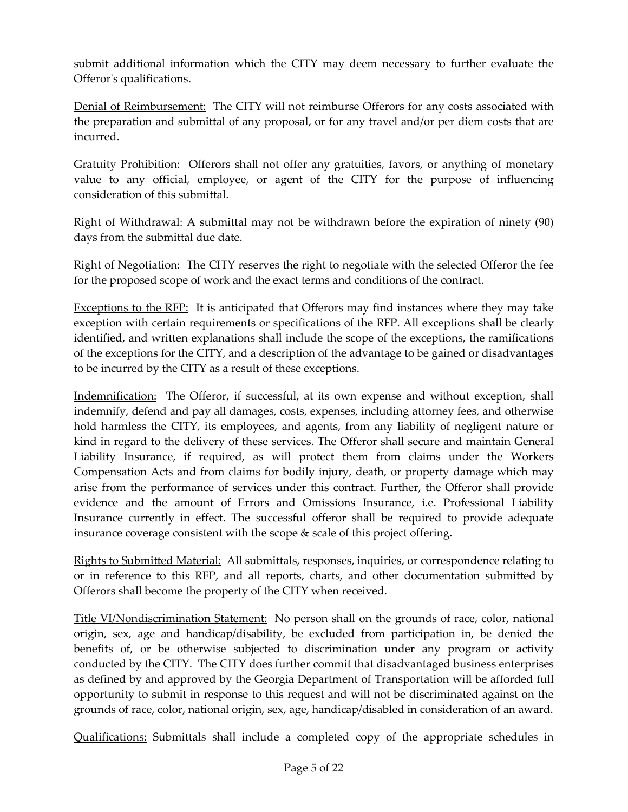submit additional information which the CITY may deem necessary to further evaluate the Offeror's qualifications.

Denial of Reimbursement: The CITY will not reimburse Offerors for any costs associated with the preparation and submittal of any proposal, or for any travel and/or per diem costs that are incurred.

Gratuity Prohibition: Offerors shall not offer any gratuities, favors, or anything of monetary value to any official, employee, or agent of the CITY for the purpose of influencing consideration of this submittal.

Right of Withdrawal: A submittal may not be withdrawn before the expiration of ninety (90) days from the submittal due date.

Right of Negotiation: The CITY reserves the right to negotiate with the selected Offeror the fee for the proposed scope of work and the exact terms and conditions of the contract.

Exceptions to the RFP: It is anticipated that Offerors may find instances where they may take exception with certain requirements or specifications of the RFP. All exceptions shall be clearly identified, and written explanations shall include the scope of the exceptions, the ramifications of the exceptions for the CITY, and a description of the advantage to be gained or disadvantages to be incurred by the CITY as a result of these exceptions.

Indemnification: The Offeror, if successful, at its own expense and without exception, shall indemnify, defend and pay all damages, costs, expenses, including attorney fees, and otherwise hold harmless the CITY, its employees, and agents, from any liability of negligent nature or kind in regard to the delivery of these services. The Offeror shall secure and maintain General Liability Insurance, if required, as will protect them from claims under the Workers Compensation Acts and from claims for bodily injury, death, or property damage which may arise from the performance of services under this contract. Further, the Offeror shall provide evidence and the amount of Errors and Omissions Insurance, i.e. Professional Liability Insurance currently in effect. The successful offeror shall be required to provide adequate insurance coverage consistent with the scope & scale of this project offering.

Rights to Submitted Material: All submittals, responses, inquiries, or correspondence relating to or in reference to this RFP, and all reports, charts, and other documentation submitted by Offerors shall become the property of the CITY when received.

Title VI/Nondiscrimination Statement: No person shall on the grounds of race, color, national origin, sex, age and handicap/disability, be excluded from participation in, be denied the benefits of, or be otherwise subjected to discrimination under any program or activity conducted by the CITY. The CITY does further commit that disadvantaged business enterprises as defined by and approved by the Georgia Department of Transportation will be afforded full opportunity to submit in response to this request and will not be discriminated against on the grounds of race, color, national origin, sex, age, handicap/disabled in consideration of an award.

Qualifications: Submittals shall include a completed copy of the appropriate schedules in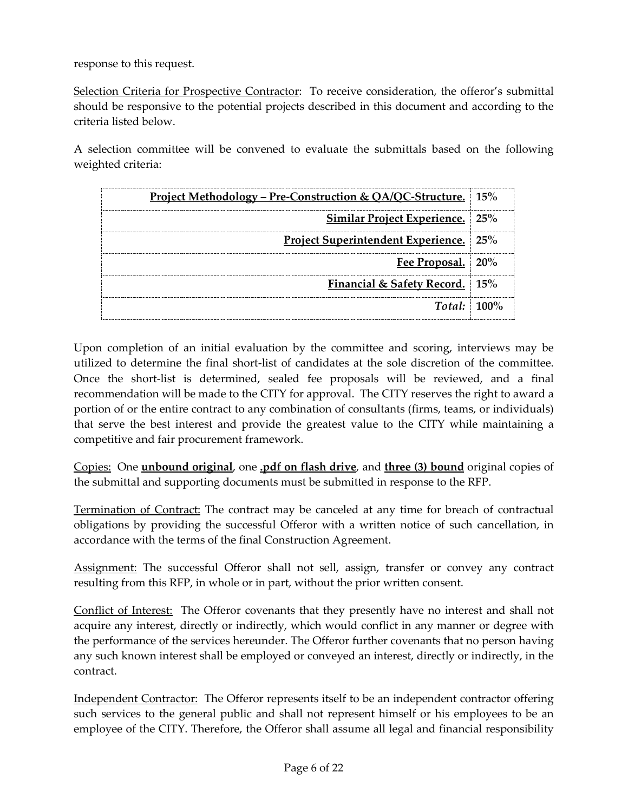response to this request.

Selection Criteria for Prospective Contractor: To receive consideration, the offeror's submittal should be responsive to the potential projects described in this document and according to the criteria listed below.

A selection committee will be convened to evaluate the submittals based on the following weighted criteria:

| <u> Project Methodology – Pre-Construction &amp; QA/QC-Structure.</u> 15% |  |
|---------------------------------------------------------------------------|--|
| <b>Similar Project Experience.</b> 25%                                    |  |
| <b>Project Superintendent Experience.</b> 25%                             |  |
| Fee Proposal. 20%                                                         |  |
| Financial & Safety Record. 15%                                            |  |
| $Total: 100\%$                                                            |  |

Upon completion of an initial evaluation by the committee and scoring, interviews may be utilized to determine the final short-list of candidates at the sole discretion of the committee. Once the short-list is determined, sealed fee proposals will be reviewed, and a final recommendation will be made to the CITY for approval. The CITY reserves the right to award a portion of or the entire contract to any combination of consultants (firms, teams, or individuals) that serve the best interest and provide the greatest value to the CITY while maintaining a competitive and fair procurement framework.

Copies: One **unbound original**, one **.pdf on flash drive**, and **three (3) bound** original copies of the submittal and supporting documents must be submitted in response to the RFP.

Termination of Contract: The contract may be canceled at any time for breach of contractual obligations by providing the successful Offeror with a written notice of such cancellation, in accordance with the terms of the final Construction Agreement.

Assignment: The successful Offeror shall not sell, assign, transfer or convey any contract resulting from this RFP, in whole or in part, without the prior written consent.

Conflict of Interest: The Offeror covenants that they presently have no interest and shall not acquire any interest, directly or indirectly, which would conflict in any manner or degree with the performance of the services hereunder. The Offeror further covenants that no person having any such known interest shall be employed or conveyed an interest, directly or indirectly, in the contract.

Independent Contractor: The Offeror represents itself to be an independent contractor offering such services to the general public and shall not represent himself or his employees to be an employee of the CITY. Therefore, the Offeror shall assume all legal and financial responsibility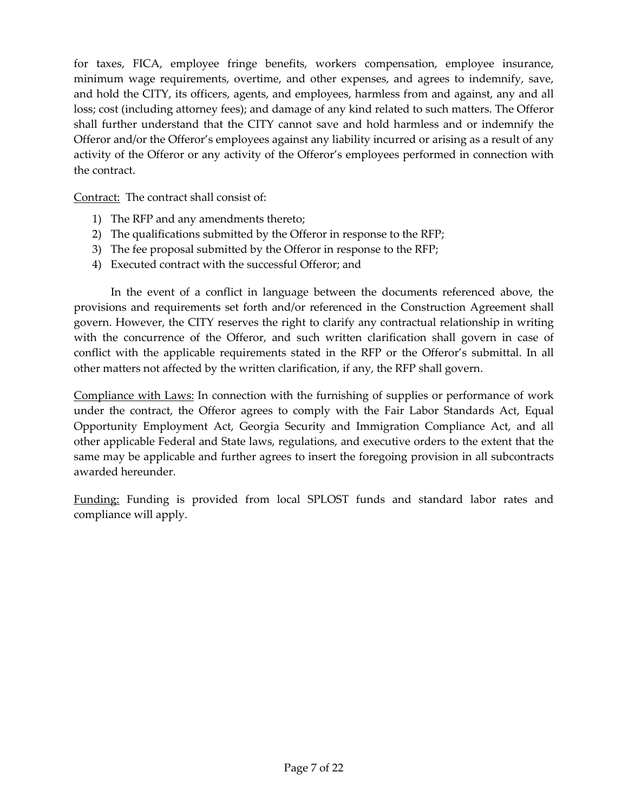for taxes, FICA, employee fringe benefits, workers compensation, employee insurance, minimum wage requirements, overtime, and other expenses, and agrees to indemnify, save, and hold the CITY, its officers, agents, and employees, harmless from and against, any and all loss; cost (including attorney fees); and damage of any kind related to such matters. The Offeror shall further understand that the CITY cannot save and hold harmless and or indemnify the Offeror and/or the Offeror's employees against any liability incurred or arising as a result of any activity of the Offeror or any activity of the Offeror's employees performed in connection with the contract.

Contract: The contract shall consist of:

- 1) The RFP and any amendments thereto;
- 2) The qualifications submitted by the Offeror in response to the RFP;
- 3) The fee proposal submitted by the Offeror in response to the RFP;
- 4) Executed contract with the successful Offeror; and

In the event of a conflict in language between the documents referenced above, the provisions and requirements set forth and/or referenced in the Construction Agreement shall govern. However, the CITY reserves the right to clarify any contractual relationship in writing with the concurrence of the Offeror, and such written clarification shall govern in case of conflict with the applicable requirements stated in the RFP or the Offeror's submittal. In all other matters not affected by the written clarification, if any, the RFP shall govern.

Compliance with Laws: In connection with the furnishing of supplies or performance of work under the contract, the Offeror agrees to comply with the Fair Labor Standards Act, Equal Opportunity Employment Act, Georgia Security and Immigration Compliance Act, and all other applicable Federal and State laws, regulations, and executive orders to the extent that the same may be applicable and further agrees to insert the foregoing provision in all subcontracts awarded hereunder.

Funding: Funding is provided from local SPLOST funds and standard labor rates and compliance will apply.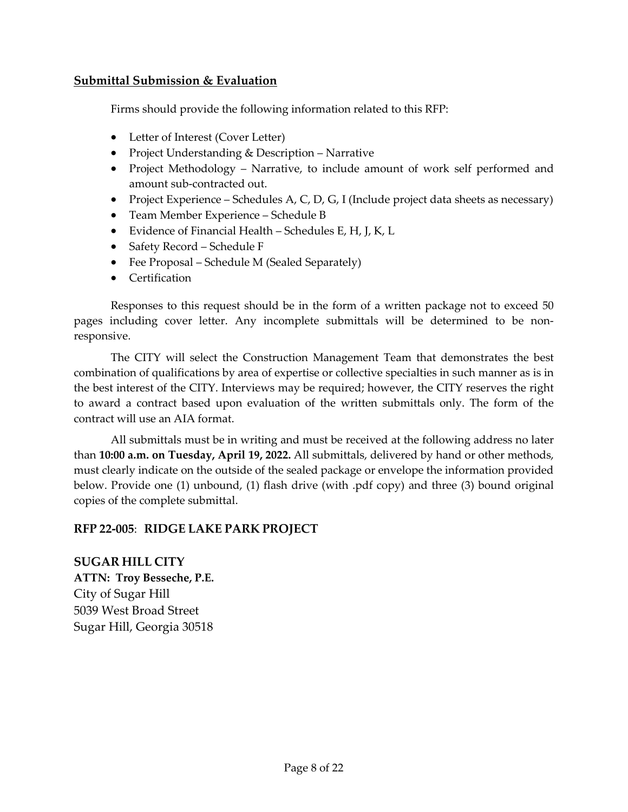#### **Submittal Submission & Evaluation**

Firms should provide the following information related to this RFP:

- Letter of Interest (Cover Letter)
- Project Understanding & Description Narrative
- Project Methodology Narrative, to include amount of work self performed and amount sub-contracted out.
- Project Experience Schedules A, C, D, G, I (Include project data sheets as necessary)
- Team Member Experience Schedule B
- Evidence of Financial Health Schedules E, H, J, K, L
- Safety Record Schedule F
- Fee Proposal Schedule M (Sealed Separately)
- Certification

Responses to this request should be in the form of a written package not to exceed 50 pages including cover letter. Any incomplete submittals will be determined to be nonresponsive.

The CITY will select the Construction Management Team that demonstrates the best combination of qualifications by area of expertise or collective specialties in such manner as is in the best interest of the CITY. Interviews may be required; however, the CITY reserves the right to award a contract based upon evaluation of the written submittals only. The form of the contract will use an AIA format.

All submittals must be in writing and must be received at the following address no later than **10:00 a.m. on Tuesday, April 19, 2022.** All submittals, delivered by hand or other methods, must clearly indicate on the outside of the sealed package or envelope the information provided below. Provide one (1) unbound, (1) flash drive (with .pdf copy) and three (3) bound original copies of the complete submittal.

#### **RFP 22-005**: **RIDGE LAKE PARK PROJECT**

**SUGAR HILL CITY ATTN: Troy Besseche, P.E.** City of Sugar Hill 5039 West Broad Street Sugar Hill, Georgia 30518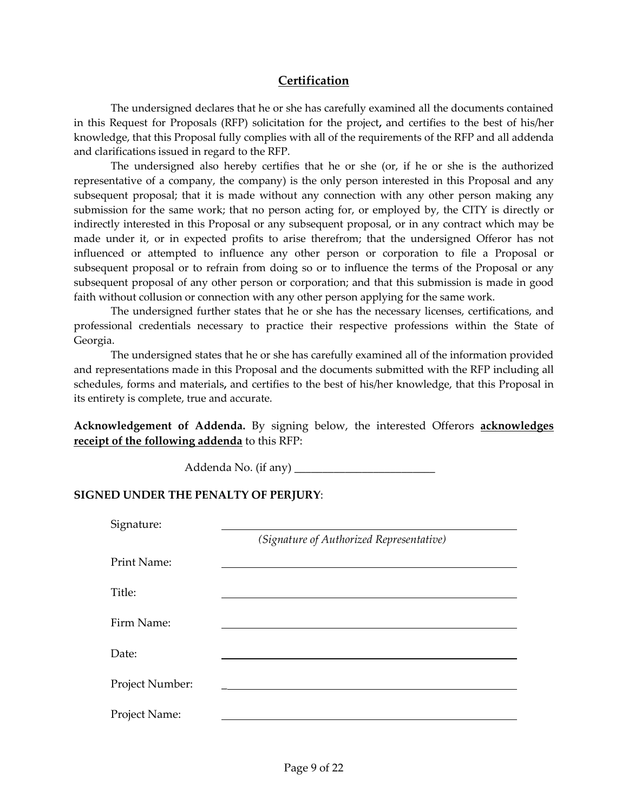#### **Certification**

The undersigned declares that he or she has carefully examined all the documents contained in this Request for Proposals (RFP) solicitation for the project**,** and certifies to the best of his/her knowledge, that this Proposal fully complies with all of the requirements of the RFP and all addenda and clarifications issued in regard to the RFP.

The undersigned also hereby certifies that he or she (or, if he or she is the authorized representative of a company, the company) is the only person interested in this Proposal and any subsequent proposal; that it is made without any connection with any other person making any submission for the same work; that no person acting for, or employed by, the CITY is directly or indirectly interested in this Proposal or any subsequent proposal, or in any contract which may be made under it, or in expected profits to arise therefrom; that the undersigned Offeror has not influenced or attempted to influence any other person or corporation to file a Proposal or subsequent proposal or to refrain from doing so or to influence the terms of the Proposal or any subsequent proposal of any other person or corporation; and that this submission is made in good faith without collusion or connection with any other person applying for the same work.

The undersigned further states that he or she has the necessary licenses, certifications, and professional credentials necessary to practice their respective professions within the State of Georgia.

The undersigned states that he or she has carefully examined all of the information provided and representations made in this Proposal and the documents submitted with the RFP including all schedules, forms and materials**,** and certifies to the best of his/her knowledge, that this Proposal in its entirety is complete, true and accurate.

**Acknowledgement of Addenda.** By signing below, the interested Offerors **acknowledges receipt of the following addenda** to this RFP:

Addenda No. (if any) \_\_\_\_\_\_\_\_\_\_\_\_\_\_\_\_\_\_\_\_\_\_\_\_\_

#### **SIGNED UNDER THE PENALTY OF PERJURY**:

| Signature:      |                                          |
|-----------------|------------------------------------------|
|                 | (Signature of Authorized Representative) |
| Print Name:     |                                          |
| Title:          |                                          |
| Firm Name:      |                                          |
| Date:           |                                          |
| Project Number: |                                          |
| Project Name:   |                                          |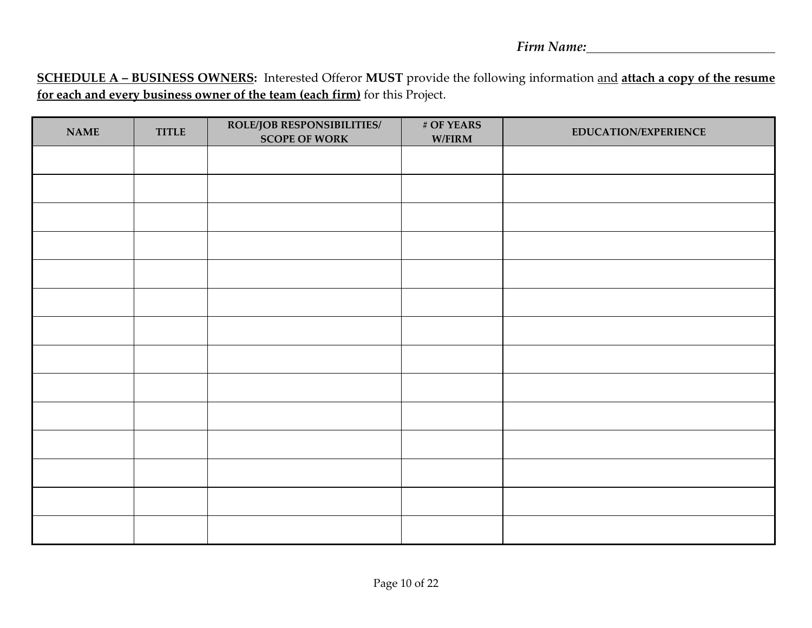**SCHEDULE A – BUSINESS OWNERS:** Interested Offeror **MUST** provide the following information and **attach a copy of the resume for each and every business owner of the team (each firm)** for this Project.

| <b>NAME</b> | <b>TITLE</b> | <b>ROLE/JOB RESPONSIBILITIES/</b><br><b>SCOPE OF WORK</b> | # OF YEARS<br>$\mathbf{W}/\mathbf{FIRM}$ | <b>EDUCATION/EXPERIENCE</b> |
|-------------|--------------|-----------------------------------------------------------|------------------------------------------|-----------------------------|
|             |              |                                                           |                                          |                             |
|             |              |                                                           |                                          |                             |
|             |              |                                                           |                                          |                             |
|             |              |                                                           |                                          |                             |
|             |              |                                                           |                                          |                             |
|             |              |                                                           |                                          |                             |
|             |              |                                                           |                                          |                             |
|             |              |                                                           |                                          |                             |
|             |              |                                                           |                                          |                             |
|             |              |                                                           |                                          |                             |
|             |              |                                                           |                                          |                             |
|             |              |                                                           |                                          |                             |
|             |              |                                                           |                                          |                             |
|             |              |                                                           |                                          |                             |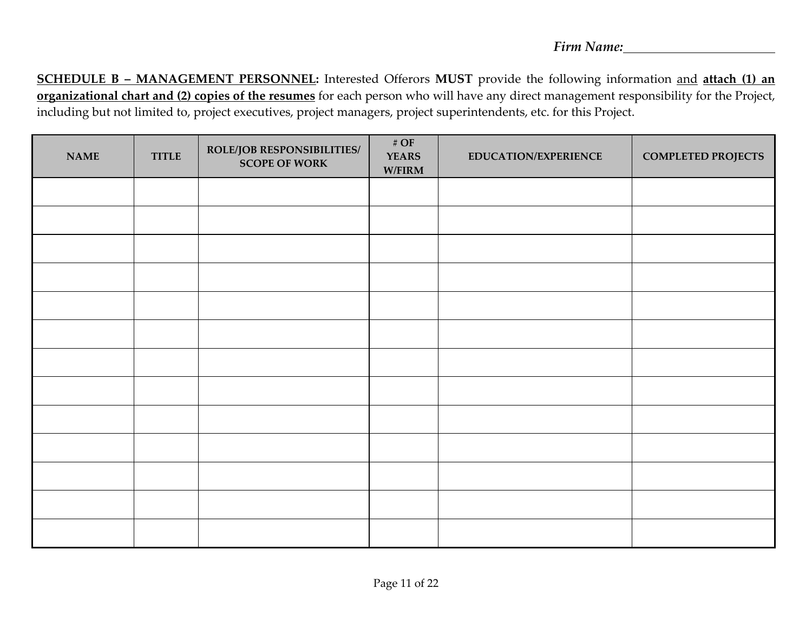**SCHEDULE B – MANAGEMENT PERSONNEL:** Interested Offerors **MUST** provide the following information and **attach (1) an organizational chart and (2) copies of the resumes** for each person who will have any direct management responsibility for the Project, including but not limited to, project executives, project managers, project superintendents, etc. for this Project.

| <b>NAME</b> | <b>TITLE</b> | ROLE/JOB RESPONSIBILITIES/<br><b>SCOPE OF WORK</b> | # $\overline{OF}$<br><b>YEARS</b><br>$\mathbf{W}/\mathbf{FIRM}$ | <b>EDUCATION/EXPERIENCE</b> | <b>COMPLETED PROJECTS</b> |
|-------------|--------------|----------------------------------------------------|-----------------------------------------------------------------|-----------------------------|---------------------------|
|             |              |                                                    |                                                                 |                             |                           |
|             |              |                                                    |                                                                 |                             |                           |
|             |              |                                                    |                                                                 |                             |                           |
|             |              |                                                    |                                                                 |                             |                           |
|             |              |                                                    |                                                                 |                             |                           |
|             |              |                                                    |                                                                 |                             |                           |
|             |              |                                                    |                                                                 |                             |                           |
|             |              |                                                    |                                                                 |                             |                           |
|             |              |                                                    |                                                                 |                             |                           |
|             |              |                                                    |                                                                 |                             |                           |
|             |              |                                                    |                                                                 |                             |                           |
|             |              |                                                    |                                                                 |                             |                           |
|             |              |                                                    |                                                                 |                             |                           |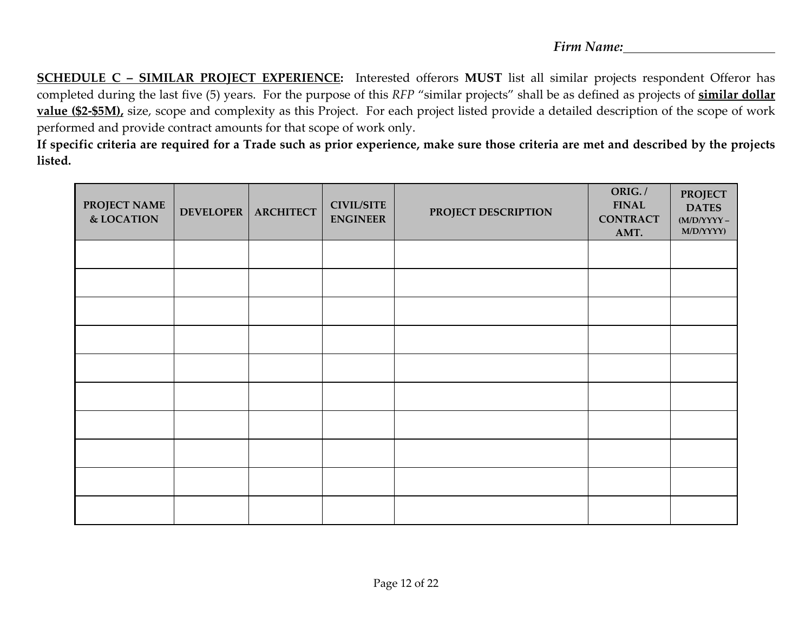**SCHEDULE C – SIMILAR PROJECT EXPERIENCE:** Interested offerors **MUST** list all similar projects respondent Offeror has completed during the last five (5) years. For the purpose of this *RFP* "similar projects" shall be as defined as projects of **similar dollar value (\$2-\$5M),** size, scope and complexity as this Project. For each project listed provide a detailed description of the scope of work performed and provide contract amounts for that scope of work only.

**If specific criteria are required for a Trade such as prior experience, make sure those criteria are met and described by the projects listed.**

| PROJECT NAME<br>& LOCATION | DEVELOPER | <b>ARCHITECT</b> | <b>CIVIL/SITE</b><br><b>ENGINEER</b> | PROJECT DESCRIPTION | ORIG./<br><b>FINAL</b><br><b>CONTRACT</b><br>AMT. | <b>PROJECT</b><br><b>DATES</b><br>$(\mathbf{M}/\mathbf{D}/\mathbf{YY}\mathbf{YY}$ –<br>M/D/YYYY) |
|----------------------------|-----------|------------------|--------------------------------------|---------------------|---------------------------------------------------|--------------------------------------------------------------------------------------------------|
|                            |           |                  |                                      |                     |                                                   |                                                                                                  |
|                            |           |                  |                                      |                     |                                                   |                                                                                                  |
|                            |           |                  |                                      |                     |                                                   |                                                                                                  |
|                            |           |                  |                                      |                     |                                                   |                                                                                                  |
|                            |           |                  |                                      |                     |                                                   |                                                                                                  |
|                            |           |                  |                                      |                     |                                                   |                                                                                                  |
|                            |           |                  |                                      |                     |                                                   |                                                                                                  |
|                            |           |                  |                                      |                     |                                                   |                                                                                                  |
|                            |           |                  |                                      |                     |                                                   |                                                                                                  |
|                            |           |                  |                                      |                     |                                                   |                                                                                                  |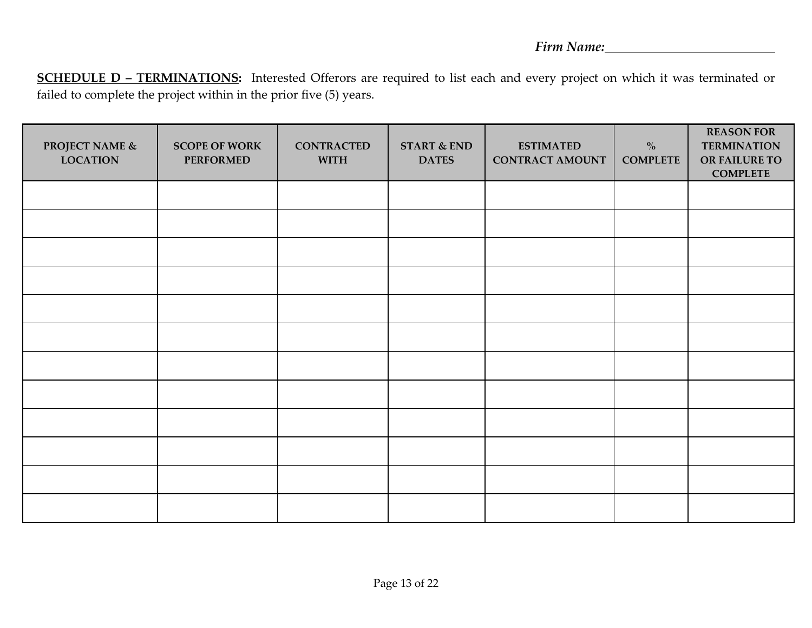**SCHEDULE D – TERMINATIONS:** Interested Offerors are required to list each and every project on which it was terminated or failed to complete the project within in the prior five (5) years.

| PROJECT NAME $\&$<br><b>LOCATION</b> | <b>SCOPE OF WORK</b><br><b>PERFORMED</b> | <b>CONTRACTED</b><br><b>WITH</b> | <b>START &amp; END</b><br><b>DATES</b> | <b>ESTIMATED</b><br><b>CONTRACT AMOUNT</b> | $\%$<br><b>COMPLETE</b> | <b>REASON FOR</b><br><b>TERMINATION</b><br>OR FAILURE TO<br><b>COMPLETE</b> |
|--------------------------------------|------------------------------------------|----------------------------------|----------------------------------------|--------------------------------------------|-------------------------|-----------------------------------------------------------------------------|
|                                      |                                          |                                  |                                        |                                            |                         |                                                                             |
|                                      |                                          |                                  |                                        |                                            |                         |                                                                             |
|                                      |                                          |                                  |                                        |                                            |                         |                                                                             |
|                                      |                                          |                                  |                                        |                                            |                         |                                                                             |
|                                      |                                          |                                  |                                        |                                            |                         |                                                                             |
|                                      |                                          |                                  |                                        |                                            |                         |                                                                             |
|                                      |                                          |                                  |                                        |                                            |                         |                                                                             |
|                                      |                                          |                                  |                                        |                                            |                         |                                                                             |
|                                      |                                          |                                  |                                        |                                            |                         |                                                                             |
|                                      |                                          |                                  |                                        |                                            |                         |                                                                             |
|                                      |                                          |                                  |                                        |                                            |                         |                                                                             |
|                                      |                                          |                                  |                                        |                                            |                         |                                                                             |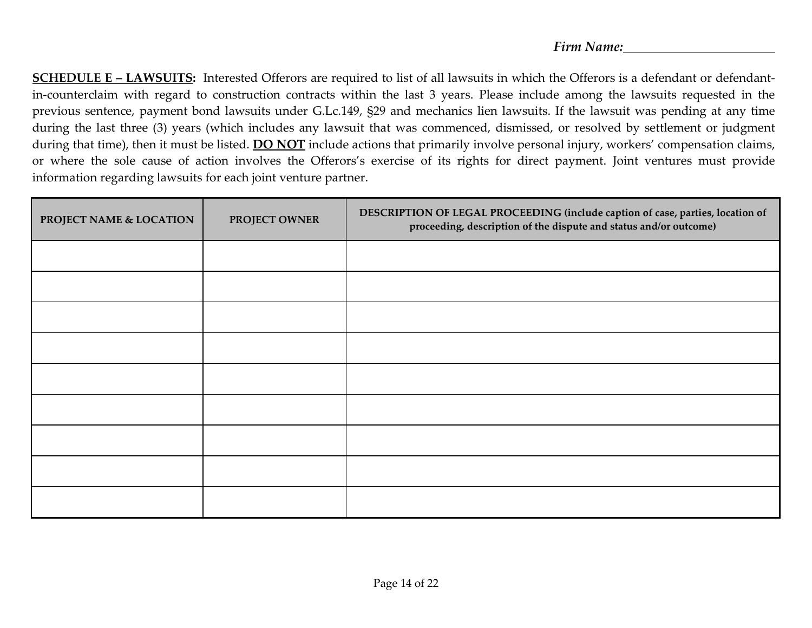**SCHEDULE E – LAWSUITS:** Interested Offerors are required to list of all lawsuits in which the Offerors is a defendant or defendantin-counterclaim with regard to construction contracts within the last 3 years. Please include among the lawsuits requested in the previous sentence, payment bond lawsuits under G.Lc.149, §29 and mechanics lien lawsuits. If the lawsuit was pending at any time during the last three (3) years (which includes any lawsuit that was commenced, dismissed, or resolved by settlement or judgment during that time), then it must be listed. **DO NOT** include actions that primarily involve personal injury, workers' compensation claims, or where the sole cause of action involves the Offerors's exercise of its rights for direct payment. Joint ventures must provide information regarding lawsuits for each joint venture partner.

| PROJECT NAME & LOCATION | PROJECT OWNER | DESCRIPTION OF LEGAL PROCEEDING (include caption of case, parties, location of<br>proceeding, description of the dispute and status and/or outcome) |
|-------------------------|---------------|-----------------------------------------------------------------------------------------------------------------------------------------------------|
|                         |               |                                                                                                                                                     |
|                         |               |                                                                                                                                                     |
|                         |               |                                                                                                                                                     |
|                         |               |                                                                                                                                                     |
|                         |               |                                                                                                                                                     |
|                         |               |                                                                                                                                                     |
|                         |               |                                                                                                                                                     |
|                         |               |                                                                                                                                                     |
|                         |               |                                                                                                                                                     |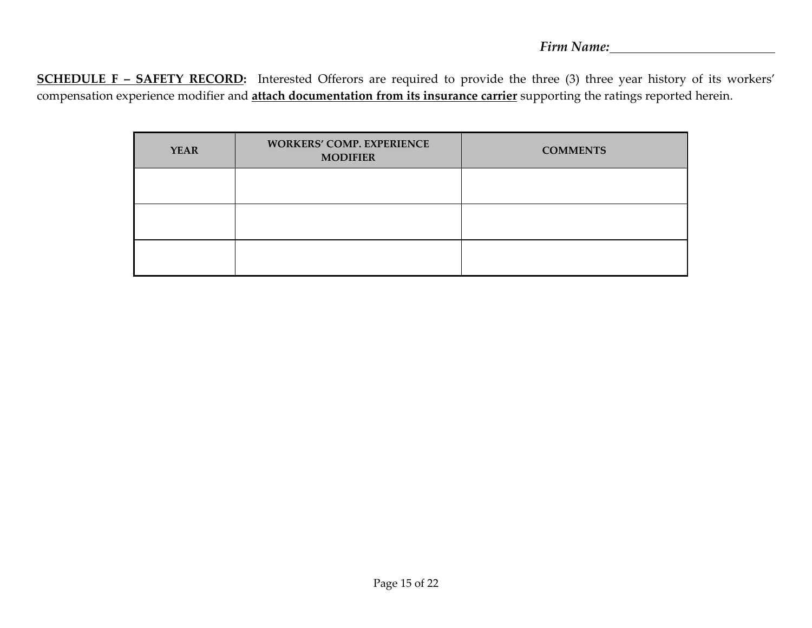**SCHEDULE F – SAFETY RECORD:** Interested Offerors are required to provide the three (3) three year history of its workers' compensation experience modifier and **attach documentation from its insurance carrier** supporting the ratings reported herein.

| <b>YEAR</b> | <b>WORKERS' COMP. EXPERIENCE</b><br><b>MODIFIER</b> | <b>COMMENTS</b> |
|-------------|-----------------------------------------------------|-----------------|
|             |                                                     |                 |
|             |                                                     |                 |
|             |                                                     |                 |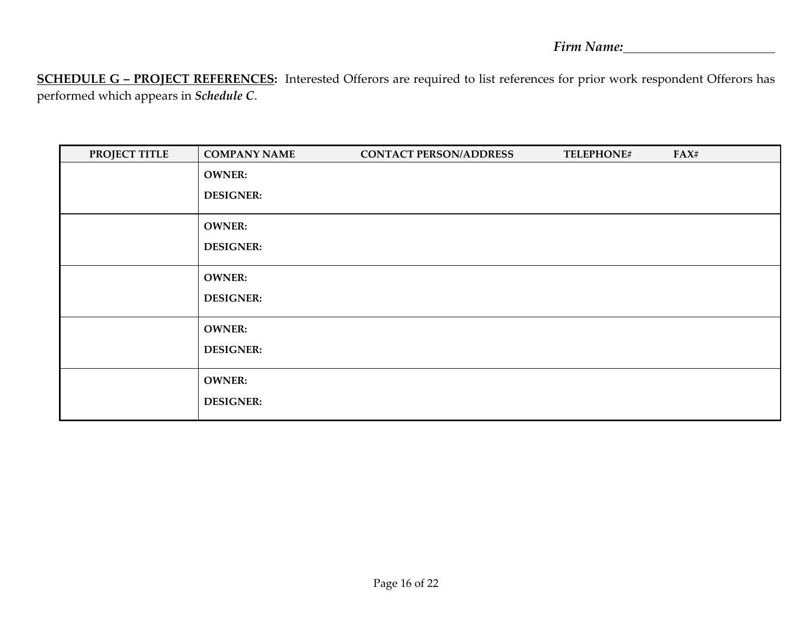**SCHEDULE G – PROJECT REFERENCES:** Interested Offerors are required to list references for prior work respondent Offerors has performed which appears in *Schedule C*.

| <b>PROJECT TITLE</b> | <b>COMPANY NAME</b> | <b>CONTACT PERSON/ADDRESS</b> | TELEPHONE# | FAX# |
|----------------------|---------------------|-------------------------------|------------|------|
|                      | <b>OWNER:</b>       |                               |            |      |
|                      | <b>DESIGNER:</b>    |                               |            |      |
|                      | <b>OWNER:</b>       |                               |            |      |
|                      | <b>DESIGNER:</b>    |                               |            |      |
|                      | <b>OWNER:</b>       |                               |            |      |
|                      | <b>DESIGNER:</b>    |                               |            |      |
|                      | <b>OWNER:</b>       |                               |            |      |
|                      | <b>DESIGNER:</b>    |                               |            |      |
|                      | <b>OWNER:</b>       |                               |            |      |
|                      | <b>DESIGNER:</b>    |                               |            |      |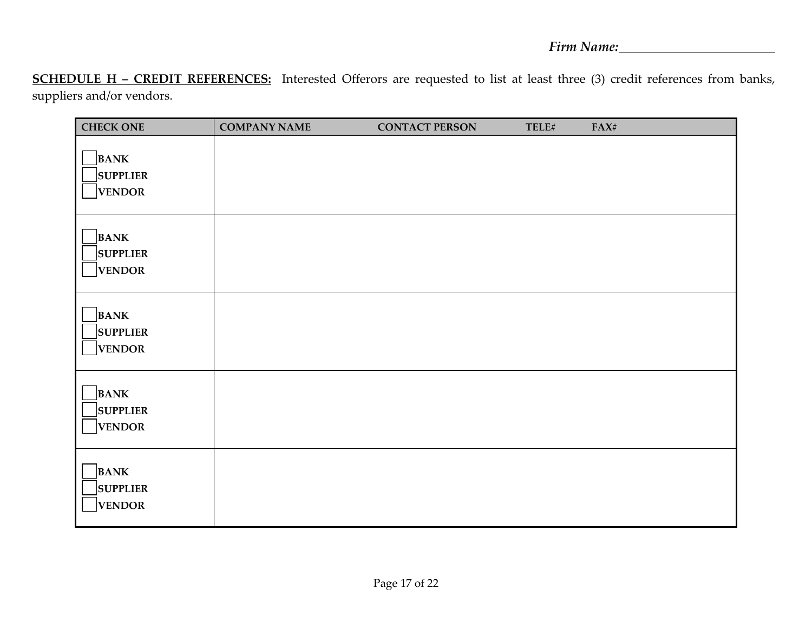**SCHEDULE H – CREDIT REFERENCES:** Interested Offerors are requested to list at least three (3) credit references from banks, suppliers and/or vendors.

| <b>CHECK ONE</b>                                | <b>COMPANY NAME</b> | <b>CONTACT PERSON</b> | TELE# | FAX# |
|-------------------------------------------------|---------------------|-----------------------|-------|------|
| <b>BANK</b><br><b>SUPPLIER</b><br><b>VENDOR</b> |                     |                       |       |      |
| <b>BANK</b><br><b>SUPPLIER</b><br><b>VENDOR</b> |                     |                       |       |      |
| <b>BANK</b><br><b>SUPPLIER</b><br><b>VENDOR</b> |                     |                       |       |      |
| <b>BANK</b><br><b>SUPPLIER</b><br><b>VENDOR</b> |                     |                       |       |      |
| <b>BANK</b><br><b>SUPPLIER</b><br><b>VENDOR</b> |                     |                       |       |      |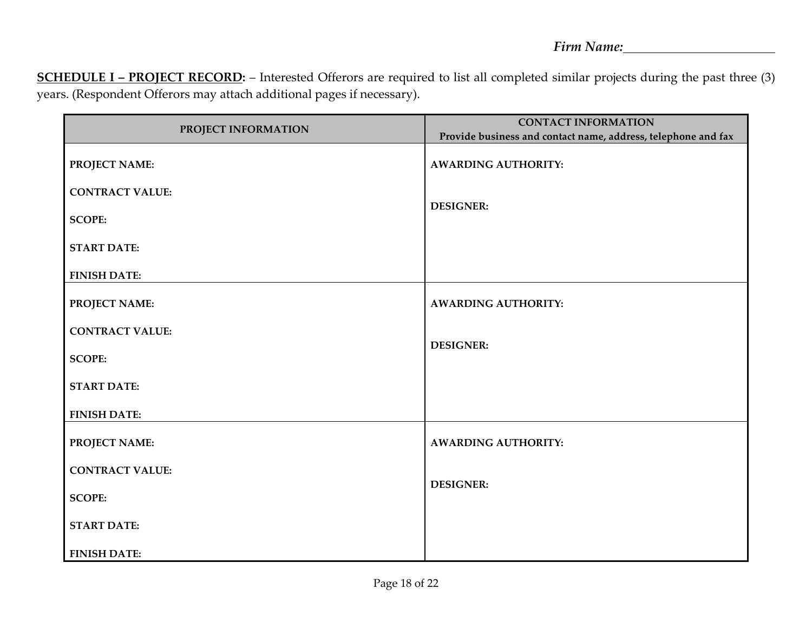**SCHEDULE I – PROJECT RECORD:** – Interested Offerors are required to list all completed similar projects during the past three (3) years. (Respondent Offerors may attach additional pages if necessary).

| PROJECT INFORMATION    | <b>CONTACT INFORMATION</b><br>Provide business and contact name, address, telephone and fax |
|------------------------|---------------------------------------------------------------------------------------------|
| PROJECT NAME:          | <b>AWARDING AUTHORITY:</b>                                                                  |
| <b>CONTRACT VALUE:</b> |                                                                                             |
| <b>SCOPE:</b>          | <b>DESIGNER:</b>                                                                            |
| <b>START DATE:</b>     |                                                                                             |
| <b>FINISH DATE:</b>    |                                                                                             |
| PROJECT NAME:          | <b>AWARDING AUTHORITY:</b>                                                                  |
| <b>CONTRACT VALUE:</b> |                                                                                             |
| <b>SCOPE:</b>          | <b>DESIGNER:</b>                                                                            |
| <b>START DATE:</b>     |                                                                                             |
| <b>FINISH DATE:</b>    |                                                                                             |
| PROJECT NAME:          | <b>AWARDING AUTHORITY:</b>                                                                  |
| <b>CONTRACT VALUE:</b> |                                                                                             |
| <b>SCOPE:</b>          | <b>DESIGNER:</b>                                                                            |
| <b>START DATE:</b>     |                                                                                             |
| <b>FINISH DATE:</b>    |                                                                                             |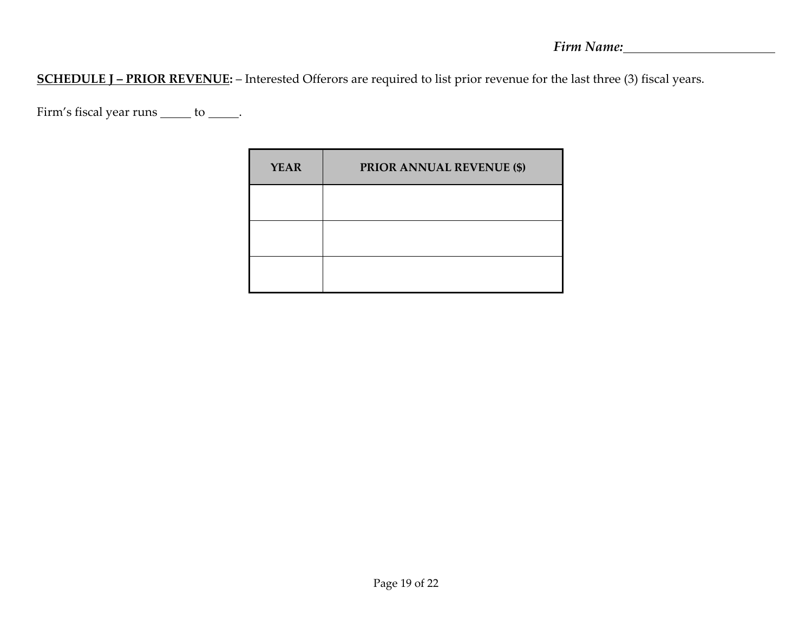**SCHEDULE J – PRIOR REVENUE:** – Interested Offerors are required to list prior revenue for the last three (3) fiscal years.

Firm's fiscal year runs  $\rule{1em}{0.15mm}$  to  $\rule{1.5mm}{0.15mm}$ .

| <b>YEAR</b> | <b>PRIOR ANNUAL REVENUE (\$)</b> |
|-------------|----------------------------------|
|             |                                  |
|             |                                  |
|             |                                  |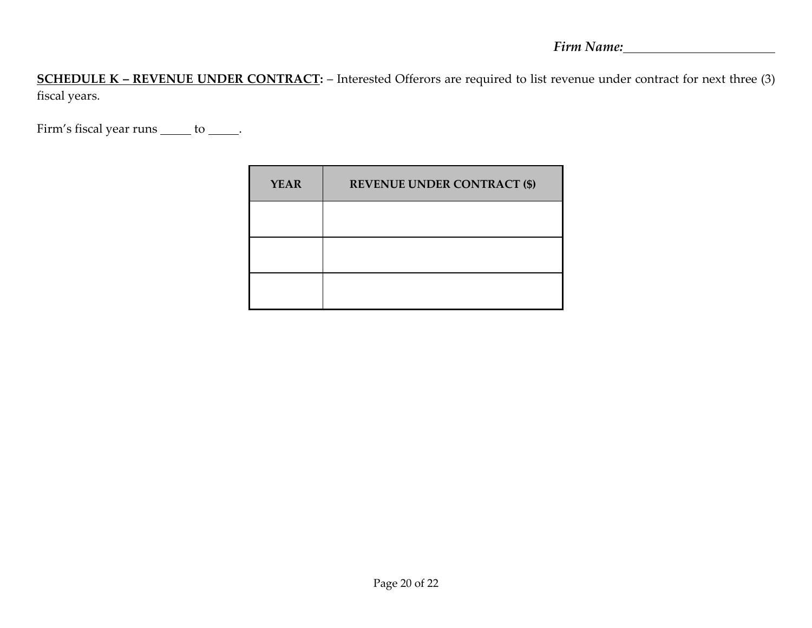**SCHEDULE K – REVENUE UNDER CONTRACT:** – Interested Offerors are required to list revenue under contract for next three (3) fiscal years.

Firm's fiscal year runs  $\rule{1em}{0.15mm}$  to  $\rule{1.5mm}{0.15mm}$ .

| <b>YEAR</b> | <b>REVENUE UNDER CONTRACT (\$)</b> |  |
|-------------|------------------------------------|--|
|             |                                    |  |
|             |                                    |  |
|             |                                    |  |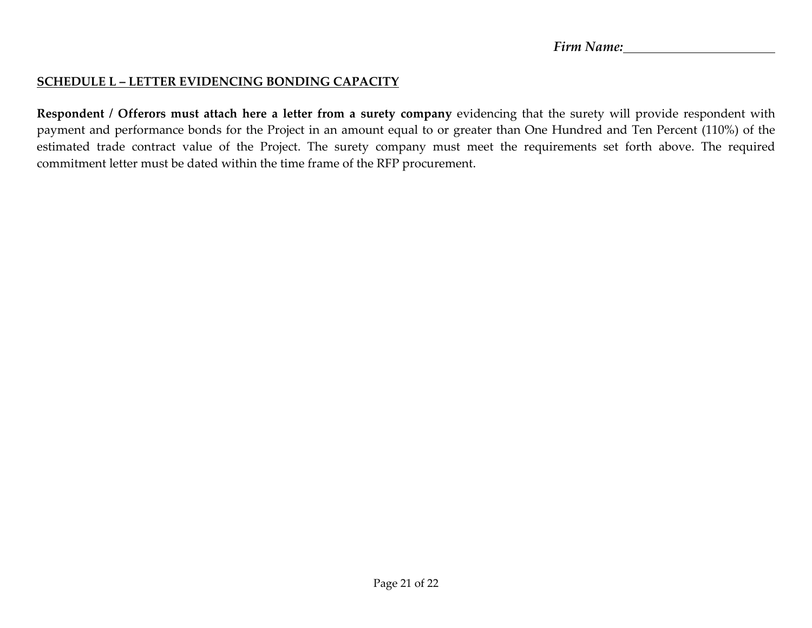## **SCHEDULE L – LETTER EVIDENCING BONDING CAPACITY**

**Respondent / Offerors must attach here a letter from a surety company** evidencing that the surety will provide respondent with payment and performance bonds for the Project in an amount equal to or greater than One Hundred and Ten Percent (110%) of the estimated trade contract value of the Project. The surety company must meet the requirements set forth above. The required commitment letter must be dated within the time frame of the RFP procurement.